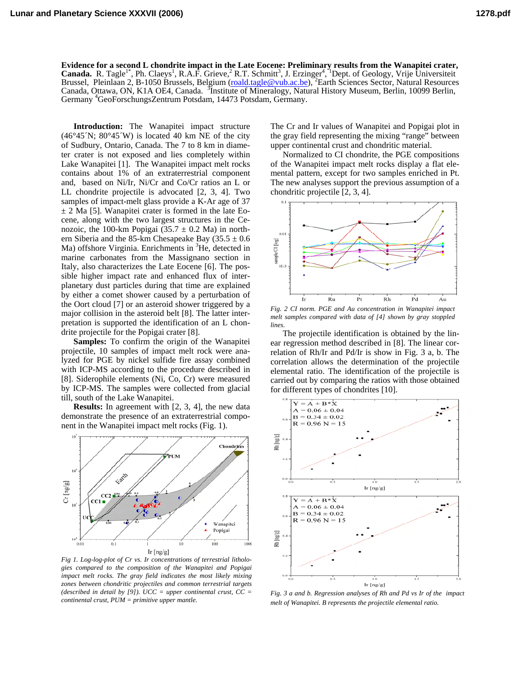**Evidence for a second L chondrite impact in the Late Eocene: Preliminary results from the Wanapitei crater,**  Canada. R. Tagle<sup>1\*</sup>, Ph. Claeys<sup>1</sup>, R.A.F. Grieve, <sup>2</sup> R.T. Schmitt<sup>3</sup>, J. Erzinger<sup>4</sup>, <sup>\*</sup>Dept. of Geology, Vrije Universiteit Brussel, Pleinlaan 2, B-1050 Brussels, Belgium (roald.tagle@vub.ac.be), <sup>2</sup>Earth Sciences Sector, Natural Resources Canada, Ottawa, ON, K1A OE4, Canada. <sup>3</sup>Institute of Mineralogy, Natural History Museum, Berlin, 10099 Berlin, Germany <sup>4</sup>GeoForschungsZentrum Potsdam, 14473 Potsdam, Germany.

**Introduction:** The Wanapitei impact structure  $(46°45'N; 80°45'W)$  is located 40 km NE of the city of Sudbury, Ontario, Canada. The 7 to 8 km in diameter crater is not exposed and lies completely within Lake Wanapitei [1]. The Wanapitei impact melt rocks contains about 1% of an extraterrestrial component and, based on Ni/Ir, Ni/Cr and Co/Cr ratios an L or LL chondrite projectile is advocated [2, 3, 4]. Two samples of impact-melt glass provide a K-Ar age of 37  $\pm$  2 Ma [5]. Wanapitei crater is formed in the late Eocene, along with the two largest structures in the Cenozoic, the 100-km Popigai (35.7  $\pm$  0.2 Ma) in northern Siberia and the 85-km Chesapeake Bay (35.5  $\pm$  0.6 Ma) offshore Virginia. Enrichments in <sup>3</sup>He, detected in marine carbonates from the Massignano section in Italy, also characterizes the Late Eocene [6]. The possible higher impact rate and enhanced flux of interplanetary dust particles during that time are explained by either a comet shower caused by a perturbation of the Oort cloud [7] or an asteroid shower triggered by a major collision in the asteroid belt [8]. The latter interpretation is supported the identification of an L chondrite projectile for the Popigai crater [8].

**Samples:** To confirm the origin of the Wanapitei projectile, 10 samples of impact melt rock were analyzed for PGE by nickel sulfide fire assay combined with ICP-MS according to the procedure described in [8]. Siderophile elements (Ni, Co, Cr) were measured by ICP-MS. The samples were collected from glacial till, south of the Lake Wanapitei.

**Results:** In agreement with [2, 3, 4], the new data demonstrate the presence of an extraterrestrial component in the Wanapitei impact melt rocks (Fig. 1).



*Fig 1. Log-log-plot of Cr vs. Ir concentrations of terrestrial lithologies compared to the composition of the Wanapitei and Popigai impact melt rocks. The gray field indicates the most likely mixing zones between chondritic projectiles and common terrestrial targets (described in detail by [9]). UCC = upper continental crust, CC = continental crust, PUM = primitive upper mantle.* 

The Cr and Ir values of Wanapitei and Popigai plot in the gray field representing the mixing "range" between upper continental crust and chondritic material.

Normalized to CI chondrite, the PGE compositions of the Wanapitei impact melt rocks display a flat elemental pattern, except for two samples enriched in Pt. The new analyses support the previous assumption of a chondritic projectile [2, 3, 4].



*Fig. 2 CI norm. PGE and Au concentration in Wanapitei impact melt samples compared with data of [4] shown by gray stoppled lines.* 

The projectile identification is obtained by the linear regression method described in [8]. The linear correlation of Rh/Ir and Pd/Ir is show in Fig. 3 a, b. The correlation allows the determination of the projectile elemental ratio. The identification of the projectile is carried out by comparing the ratios with those obtained for different types of chondrites [10].



*Fig. 3 a and b. Regression analyses of Rh and Pd vs Ir of the impact melt of Wanapitei. B represents the projectile elemental ratio.*